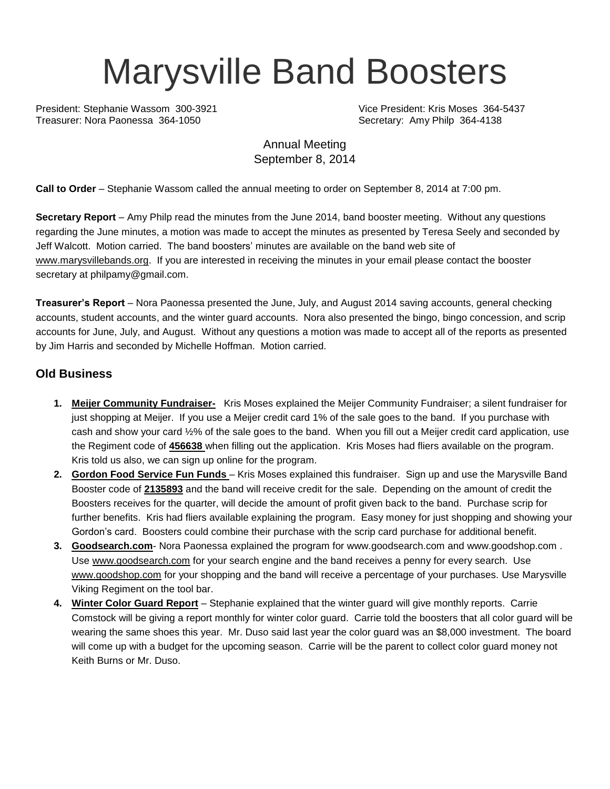# Marysville Band Boosters

President: Stephanie Wassom 300-3921 Vice President: Kris Moses 364-5437 Treasurer: Nora Paonessa 364-1050 Secretary: Amy Philp 364-4138

# Annual Meeting September 8, 2014

**Call to Order** – Stephanie Wassom called the annual meeting to order on September 8, 2014 at 7:00 pm.

**Secretary Report** – Amy Philp read the minutes from the June 2014, band booster meeting. Without any questions regarding the June minutes, a motion was made to accept the minutes as presented by Teresa Seely and seconded by Jeff Walcott. Motion carried. The band boosters' minutes are available on the band web site of [www.marysvillebands.org.](http://www.marysvillebands.org/) If you are interested in receiving the minutes in your email please contact the booster secretary at philpamy@gmail.com.

**Treasurer's Report** – Nora Paonessa presented the June, July, and August 2014 saving accounts, general checking accounts, student accounts, and the winter guard accounts. Nora also presented the bingo, bingo concession, and scrip accounts for June, July, and August. Without any questions a motion was made to accept all of the reports as presented by Jim Harris and seconded by Michelle Hoffman. Motion carried.

# **Old Business**

- **1. Meijer Community Fundraiser-** Kris Moses explained the Meijer Community Fundraiser; a silent fundraiser for just shopping at Meijer. If you use a Meijer credit card 1% of the sale goes to the band. If you purchase with cash and show your card ½% of the sale goes to the band. When you fill out a Meijer credit card application, use the Regiment code of **456638** when filling out the application. Kris Moses had fliers available on the program. Kris told us also, we can sign up online for the program.
- **2. Gordon Food Service Fun Funds**  Kris Moses explained this fundraiser. Sign up and use the Marysville Band Booster code of **2135893** and the band will receive credit for the sale. Depending on the amount of credit the Boosters receives for the quarter, will decide the amount of profit given back to the band. Purchase scrip for further benefits. Kris had fliers available explaining the program. Easy money for just shopping and showing your Gordon's card. Boosters could combine their purchase with the scrip card purchase for additional benefit.
- **3. Goodsearch.com** Nora Paonessa explained the program for [www.goodsearch.com](http://www.goodsearch.com/) and [www.goodshop.com](http://www.goodshop.com/) . Use [www.goodsearch.com](http://www.goodsearch.com/) for your search engine and the band receives a penny for every search. Use [www.goodshop.com](http://www.goodshop.com/) for your shopping and the band will receive a percentage of your purchases. Use Marysville Viking Regiment on the tool bar.
- **4. Winter Color Guard Report** Stephanie explained that the winter guard will give monthly reports. Carrie Comstock will be giving a report monthly for winter color guard. Carrie told the boosters that all color guard will be wearing the same shoes this year. Mr. Duso said last year the color guard was an \$8,000 investment. The board will come up with a budget for the upcoming season. Carrie will be the parent to collect color guard money not Keith Burns or Mr. Duso.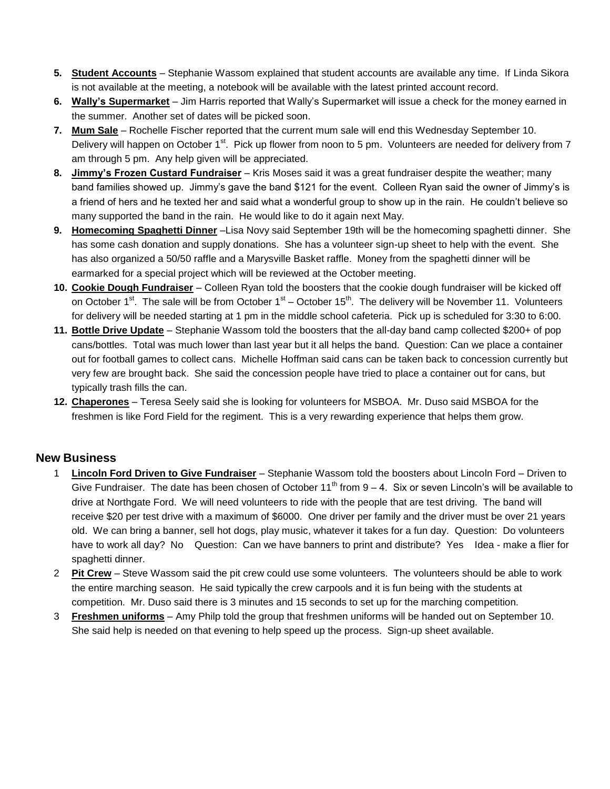- **5. Student Accounts** Stephanie Wassom explained that student accounts are available any time. If Linda Sikora is not available at the meeting, a notebook will be available with the latest printed account record.
- **6. Wally's Supermarket** Jim Harris reported that Wally's Supermarket will issue a check for the money earned in the summer. Another set of dates will be picked soon.
- **7. Mum Sale** Rochelle Fischer reported that the current mum sale will end this Wednesday September 10. Delivery will happen on October 1<sup>st</sup>. Pick up flower from noon to 5 pm. Volunteers are needed for delivery from 7 am through 5 pm. Any help given will be appreciated.
- **8. Jimmy's Frozen Custard Fundraiser** Kris Moses said it was a great fundraiser despite the weather; many band families showed up. Jimmy's gave the band \$121 for the event. Colleen Ryan said the owner of Jimmy's is a friend of hers and he texted her and said what a wonderful group to show up in the rain. He couldn't believe so many supported the band in the rain. He would like to do it again next May.
- **9. Homecoming Spaghetti Dinner** –Lisa Novy said September 19th will be the homecoming spaghetti dinner. She has some cash donation and supply donations. She has a volunteer sign-up sheet to help with the event. She has also organized a 50/50 raffle and a Marysville Basket raffle. Money from the spaghetti dinner will be earmarked for a special project which will be reviewed at the October meeting.
- **10. Cookie Dough Fundraiser** Colleen Ryan told the boosters that the cookie dough fundraiser will be kicked off on October 1<sup>st</sup>. The sale will be from October 1<sup>st</sup> – October 15<sup>th</sup>. The delivery will be November 11. Volunteers for delivery will be needed starting at 1 pm in the middle school cafeteria. Pick up is scheduled for 3:30 to 6:00.
- **11. Bottle Drive Update** Stephanie Wassom told the boosters that the all-day band camp collected \$200+ of pop cans/bottles. Total was much lower than last year but it all helps the band. Question: Can we place a container out for football games to collect cans. Michelle Hoffman said cans can be taken back to concession currently but very few are brought back. She said the concession people have tried to place a container out for cans, but typically trash fills the can.
- **12. Chaperones** Teresa Seely said she is looking for volunteers for MSBOA. Mr. Duso said MSBOA for the freshmen is like Ford Field for the regiment. This is a very rewarding experience that helps them grow.

#### **New Business**

- 1 **Lincoln Ford Driven to Give Fundraiser** Stephanie Wassom told the boosters about Lincoln Ford Driven to Give Fundraiser. The date has been chosen of October 11<sup>th</sup> from  $9 - 4$ . Six or seven Lincoln's will be available to drive at Northgate Ford. We will need volunteers to ride with the people that are test driving. The band will receive \$20 per test drive with a maximum of \$6000. One driver per family and the driver must be over 21 years old. We can bring a banner, sell hot dogs, play music, whatever it takes for a fun day. Question: Do volunteers have to work all day? No Question: Can we have banners to print and distribute? Yes Idea - make a flier for spaghetti dinner.
- 2 **Pit Crew** Steve Wassom said the pit crew could use some volunteers. The volunteers should be able to work the entire marching season. He said typically the crew carpools and it is fun being with the students at competition. Mr. Duso said there is 3 minutes and 15 seconds to set up for the marching competition.
- 3 **Freshmen uniforms** Amy Philp told the group that freshmen uniforms will be handed out on September 10. She said help is needed on that evening to help speed up the process. Sign-up sheet available.